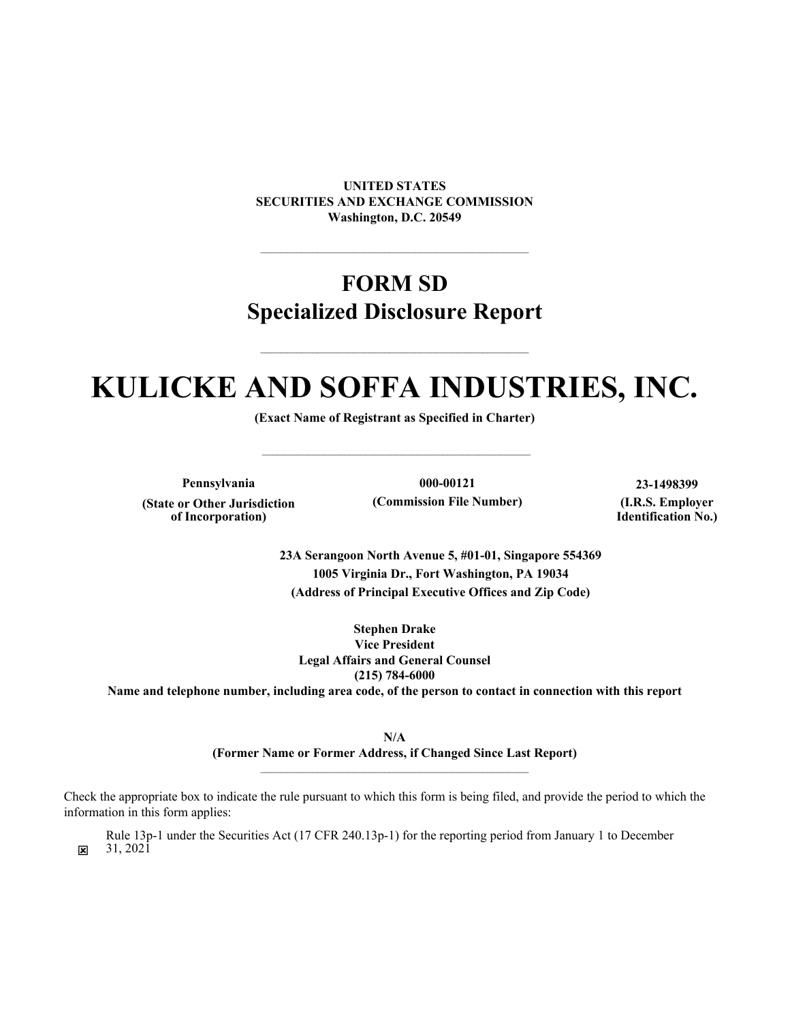**UNITED STATES SECURITIES AND EXCHANGE COMMISSION Washington, D.C. 20549**

# **FORM SD Specialized Disclosure Report**

# **KULICKE AND SOFFA INDUSTRIES, INC.**

**(Exact Name of Registrant as Specified in Charter)**

 $\mathcal{L}_\text{max}$  and  $\mathcal{L}_\text{max}$  and  $\mathcal{L}_\text{max}$  and  $\mathcal{L}_\text{max}$  and  $\mathcal{L}_\text{max}$ 

**(State or Other Jurisdiction of Incorporation)**

**Pennsylvania 000-00121 23-1498399 (Commission File Number) (I.R.S. Employer**

**Identification No.)**

**23A Serangoon North Avenue 5, #01-01, Singapore 554369 1005 Virginia Dr., Fort Washington, PA 19034 (Address of Principal Executive Offices and Zip Code)**

**Stephen Drake Vice President Legal Affairs and General Counsel** 

**(215) 784-6000**

**Name and telephone number, including area code, of the person to contact in connection with this report**

**N/A (Former Name or Former Address, if Changed Since Last Report)**

Check the appropriate box to indicate the rule pursuant to which this form is being filed, and provide the period to which the information in this form applies:

 $\overline{\mathbf{x}}$ Rule 13p-1 under the Securities Act (17 CFR 240.13p-1) for the reporting period from January 1 to December 31, 2021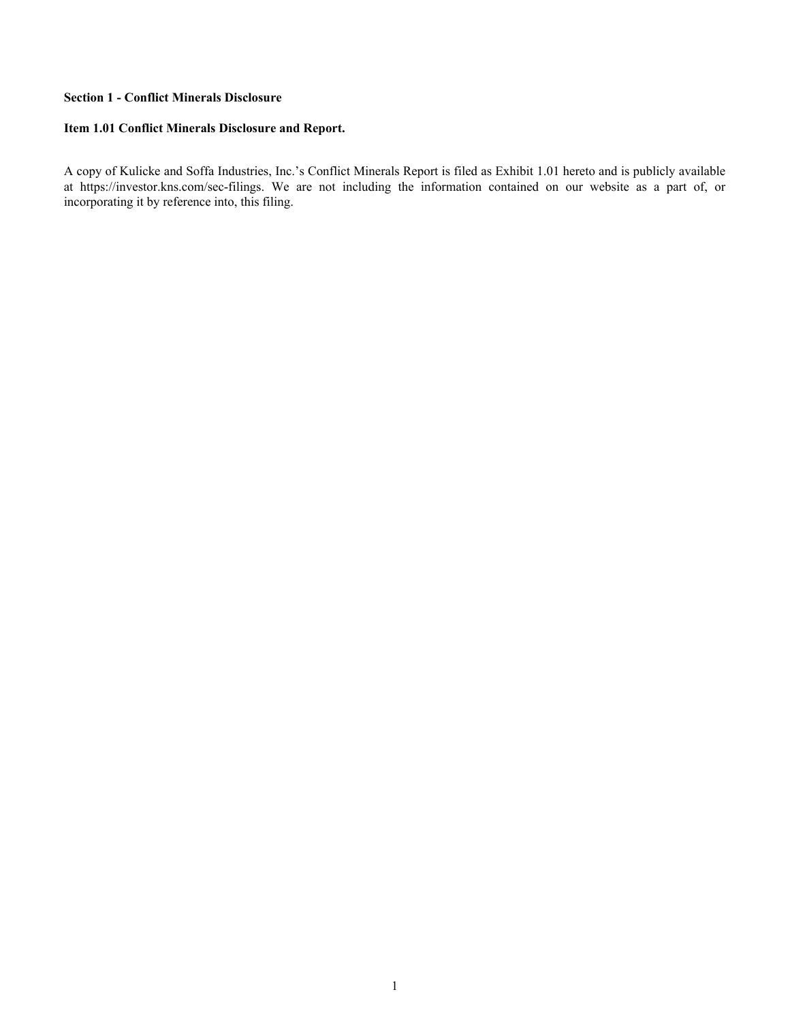#### **Section 1 - Conflict Minerals Disclosure**

#### **Item 1.01 Conflict Minerals Disclosure and Report.**

A copy of Kulicke and Soffa Industries, Inc.'s Conflict Minerals Report is filed as Exhibit 1.01 hereto and is publicly available at https://investor.kns.com/sec-filings. We are not including the information contained on our website as a part of, or incorporating it by reference into, this filing.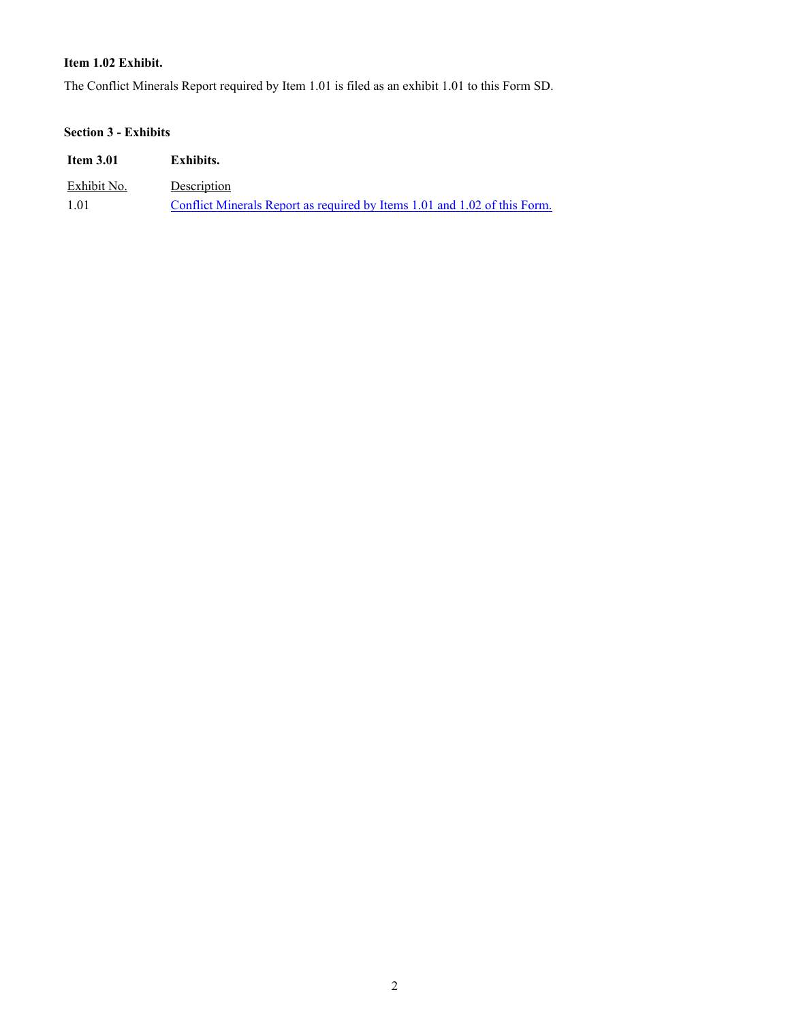#### **Item 1.02 Exhibit.**

The Conflict Minerals Report required by Item 1.01 is filed as an exhibit 1.01 to this Form SD.

## **Section 3 - Exhibits**

| <b>Item 3.01</b> | Exhibits.                                                                 |
|------------------|---------------------------------------------------------------------------|
| Exhibit No.      | Description                                                               |
| 1 0 1            | Conflict Minerals Report as required by Items 1.01 and 1.02 of this Form. |